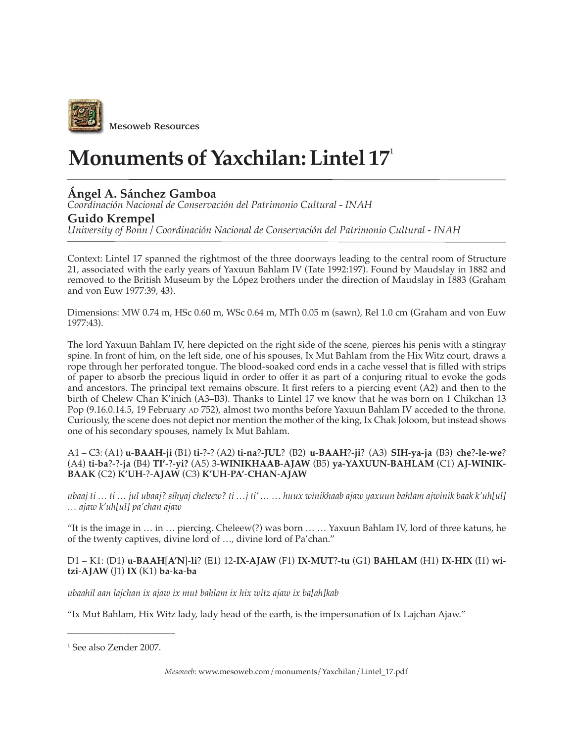

# **Monuments of Yaxchilan: Lintel 17**<sup>1</sup>

## **Ángel A. Sánchez Gamboa**

*Coordinación Nacional de Conservación del Patrimonio Cultural - INAH*

### **Guido Krempel**

*University of Bonn / Coordinación Nacional de Conservación del Patrimonio Cultural - INAH*

Context: Lintel 17 spanned the rightmost of the three doorways leading to the central room of Structure 21, associated with the early years of Yaxuun Bahlam IV (Tate 1992:197). Found by Maudslay in 1882 and removed to the British Museum by the López brothers under the direction of Maudslay in 1883 (Graham and von Euw 1977:39, 43).

Dimensions: MW 0.74 m, HSc 0.60 m, WSc 0.64 m, MTh 0.05 m (sawn), Rel 1.0 cm (Graham and von Euw 1977:43).

The lord Yaxuun Bahlam IV, here depicted on the right side of the scene, pierces his penis with a stingray spine. In front of him, on the left side, one of his spouses, Ix Mut Bahlam from the Hix Witz court, draws a rope through her perforated tongue. The blood-soaked cord ends in a cache vessel that is filled with strips of paper to absorb the precious liquid in order to offer it as part of a conjuring ritual to evoke the gods and ancestors. The principal text remains obscure. It first refers to a piercing event (A2) and then to the birth of Chelew Chan K'inich (A3–B3). Thanks to Lintel 17 we know that he was born on 1 Chikchan 13 Pop (9.16.0.14.5, 19 February AD 752), almost two months before Yaxuun Bahlam IV acceded to the throne. Curiously, the scene does not depict nor mention the mother of the king, Ix Chak Joloom, but instead shows one of his secondary spouses, namely Ix Mut Bahlam.

#### A1 – C3: (A1) **u**-**BAAH**-**ji** (B1) **ti**-?-? (A2) **ti**-**na**?-**JUL**? (B2) **u**-**BAAH**?-**ji**? (A3) **SIH**-**ya**-**ja** (B3) **che**?-**le**-**we**? (A4) **ti**-**ba**?-?-**ja** (B4) **TI'**-?-**yi?** (A5) 3-**WINIKHAAB**-**AJAW** (B5) **ya**-**YAXUUN**-**BAHLAM** (C1) **AJ**-**WINIK**-**BAAK** (C2) **K'UH**-?-**AJAW** (C3) **K'UH**-**PA'**-**CHAN**-**AJAW**

*ubaaj ti … ti … jul ubaaj? sihyaj cheleew? ti …j ti' … … huux winikhaab ajaw yaxuun bahlam ajwinik baak k'uh[ul] … ajaw k'uh[ul] pa'chan ajaw*

"It is the image in … in … piercing. Cheleew(?) was born … … Yaxuun Bahlam IV, lord of three katuns, he of the twenty captives, divine lord of …, divine lord of Pa'chan."

#### D1 – K1: (D1) **u**-**BAAH**[**A'N**]-**li**? (E1) 12-**IX**-**AJAW** (F1) **IX-MUT**?**-tu** (G1) **BAHLAM** (H1) **IX**-**HIX** (I1) **witzi**-**AJAW** (J1) **IX** (K1) **ba**-**ka**-**ba**

*ubaahil aan lajchan ix ajaw ix mut bahlam ix hix witz ajaw ix ba[ah]kab*

"Ix Mut Bahlam, Hix Witz lady, lady head of the earth, is the impersonation of Ix Lajchan Ajaw."

 $\overline{\phantom{a}}$  , where  $\overline{\phantom{a}}$  , where  $\overline{\phantom{a}}$ 

<sup>1</sup> See also Zender 2007.